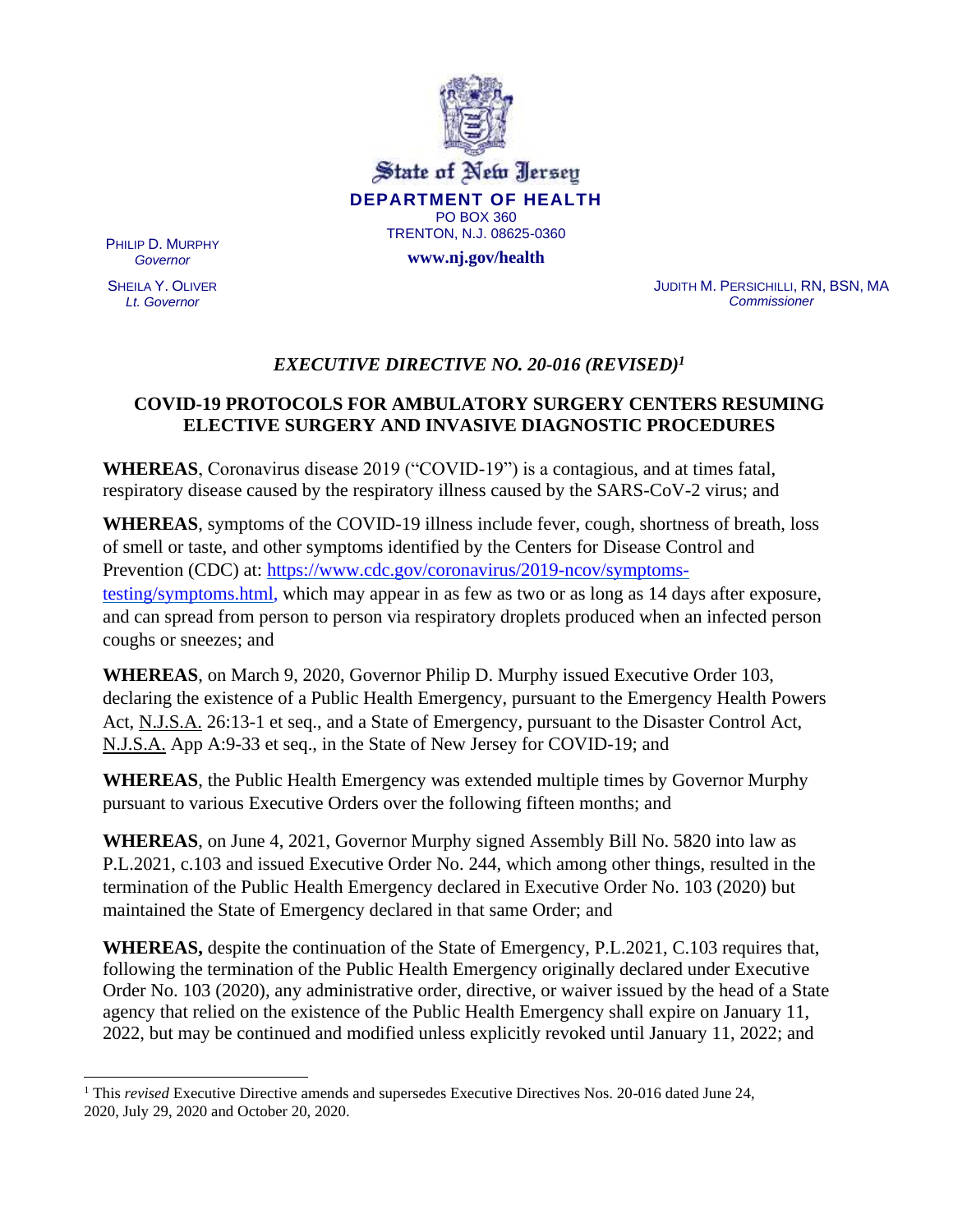

State of New Jersey **DEPARTMENT OF HEALTH** PO BOX 360 TRENTON, N.J. 08625-0360

**www.nj.gov/health**

PHILIP D. MURPHY *Governor*

SHEILA Y. OLIVER *Lt. Governor*

JUDITH M. PERSICHILLI, RN, BSN, MA *Commissioner*

# *EXECUTIVE DIRECTIVE NO. 20-016 (REVISED)<sup>1</sup>*

# **COVID-19 PROTOCOLS FOR AMBULATORY SURGERY CENTERS RESUMING ELECTIVE SURGERY AND INVASIVE DIAGNOSTIC PROCEDURES**

**WHEREAS**, Coronavirus disease 2019 ("COVID-19") is a contagious, and at times fatal, respiratory disease caused by the respiratory illness caused by the SARS-CoV-2 virus; and

**WHEREAS**, symptoms of the COVID-19 illness include fever, cough, shortness of breath, loss of smell or taste, and other symptoms identified by the Centers for Disease Control and Prevention (CDC) at: [https://www.cdc.gov/coronavirus/2019-ncov/symptoms](https://www.cdc.gov/coronavirus/2019-ncov/symptoms-testing/symptoms.html)[testing/symptoms.html, w](https://www.cdc.gov/coronavirus/2019-ncov/symptoms-testing/symptoms.html)hich may appear in as few as two or as long as 14 days after exposure, and can spread from person to person via respiratory droplets produced when an infected person coughs or sneezes; and

**WHEREAS**, on March 9, 2020, Governor Philip D. Murphy issued Executive Order 103, declaring the existence of a Public Health Emergency, pursuant to the Emergency Health Powers Act, N.J.S.A. 26:13-1 et seq., and a State of Emergency, pursuant to the Disaster Control Act, N.J.S.A. App A:9-33 et seq., in the State of New Jersey for COVID-19; and

**WHEREAS**, the Public Health Emergency was extended multiple times by Governor Murphy pursuant to various Executive Orders over the following fifteen months; and

**WHEREAS**, on June 4, 2021, Governor Murphy signed Assembly Bill No. 5820 into law as P.L.2021, c.103 and issued Executive Order No. 244, which among other things, resulted in the termination of the Public Health Emergency declared in Executive Order No. 103 (2020) but maintained the State of Emergency declared in that same Order; and

**WHEREAS,** despite the continuation of the State of Emergency, P.L.2021, C.103 requires that, following the termination of the Public Health Emergency originally declared under Executive Order No. 103 (2020), any administrative order, directive, or waiver issued by the head of a State agency that relied on the existence of the Public Health Emergency shall expire on January 11, 2022, but may be continued and modified unless explicitly revoked until January 11, 2022; and

<sup>1</sup> This *revised* Executive Directive amends and supersedes Executive Directives Nos. 20-016 dated June 24, 2020, July 29, 2020 and October 20, 2020.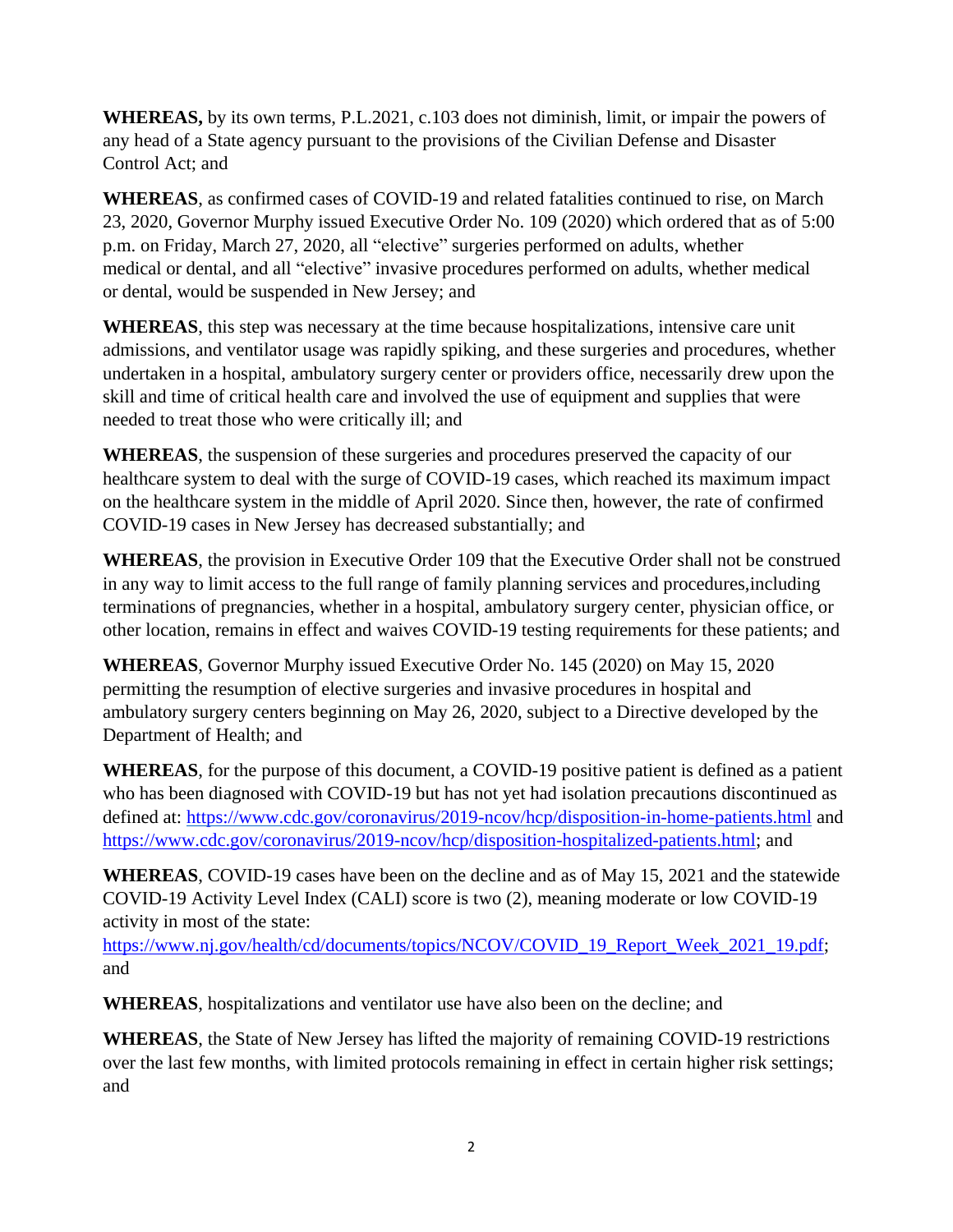**WHEREAS,** by its own terms, P.L.2021, c.103 does not diminish, limit, or impair the powers of any head of a State agency pursuant to the provisions of the Civilian Defense and Disaster Control Act; and

**WHEREAS**, as confirmed cases of COVID-19 and related fatalities continued to rise, on March 23, 2020, Governor Murphy issued Executive Order No. 109 (2020) which ordered that as of 5:00 p.m. on Friday, March 27, 2020, all "elective" surgeries performed on adults, whether medical or dental, and all "elective" invasive procedures performed on adults, whether medical or dental, would be suspended in New Jersey; and

**WHEREAS**, this step was necessary at the time because hospitalizations, intensive care unit admissions, and ventilator usage was rapidly spiking, and these surgeries and procedures, whether undertaken in a hospital, ambulatory surgery center or providers office, necessarily drew upon the skill and time of critical health care and involved the use of equipment and supplies that were needed to treat those who were critically ill; and

**WHEREAS**, the suspension of these surgeries and procedures preserved the capacity of our healthcare system to deal with the surge of COVID-19 cases, which reached its maximum impact on the healthcare system in the middle of April 2020. Since then, however, the rate of confirmed COVID-19 cases in New Jersey has decreased substantially; and

**WHEREAS**, the provision in Executive Order 109 that the Executive Order shall not be construed in any way to limit access to the full range of family planning services and procedures,including terminations of pregnancies, whether in a hospital, ambulatory surgery center, physician office, or other location, remains in effect and waives COVID-19 testing requirements for these patients; and

**WHEREAS**, Governor Murphy issued Executive Order No. 145 (2020) on May 15, 2020 permitting the resumption of elective surgeries and invasive procedures in hospital and ambulatory surgery centers beginning on May 26, 2020, subject to a Directive developed by the Department of Health; and

**WHEREAS**, for the purpose of this document, a COVID-19 positive patient is defined as a patient who has been diagnosed with COVID-19 but has not yet had isolation precautions discontinued as defined at:<https://www.cdc.gov/coronavirus/2019-ncov/hcp/disposition-in-home-patients.html> and [https://www.cdc.gov/coronavirus/2019-ncov/hcp/disposition-hospitalized-patients.html;](https://www.cdc.gov/coronavirus/2019-ncov/hcp/disposition-hospitalized-patients.html) and

**WHEREAS**, COVID-19 cases have been on the decline and as of May 15, 2021 and the statewide COVID-19 Activity Level Index (CALI) score is two (2), meaning moderate or low COVID-19 activity in most of the state:

[https://www.nj.gov/health/cd/documents/topics/NCOV/COVID\\_19\\_Report\\_Week\\_2021\\_19.pdf;](https://www.nj.gov/health/cd/documents/topics/NCOV/COVID_19_Report_Week_2021_19.pdf) and

**WHEREAS**, hospitalizations and ventilator use have also been on the decline; and

**WHEREAS**, the State of New Jersey has lifted the majority of remaining COVID-19 restrictions over the last few months, with limited protocols remaining in effect in certain higher risk settings; and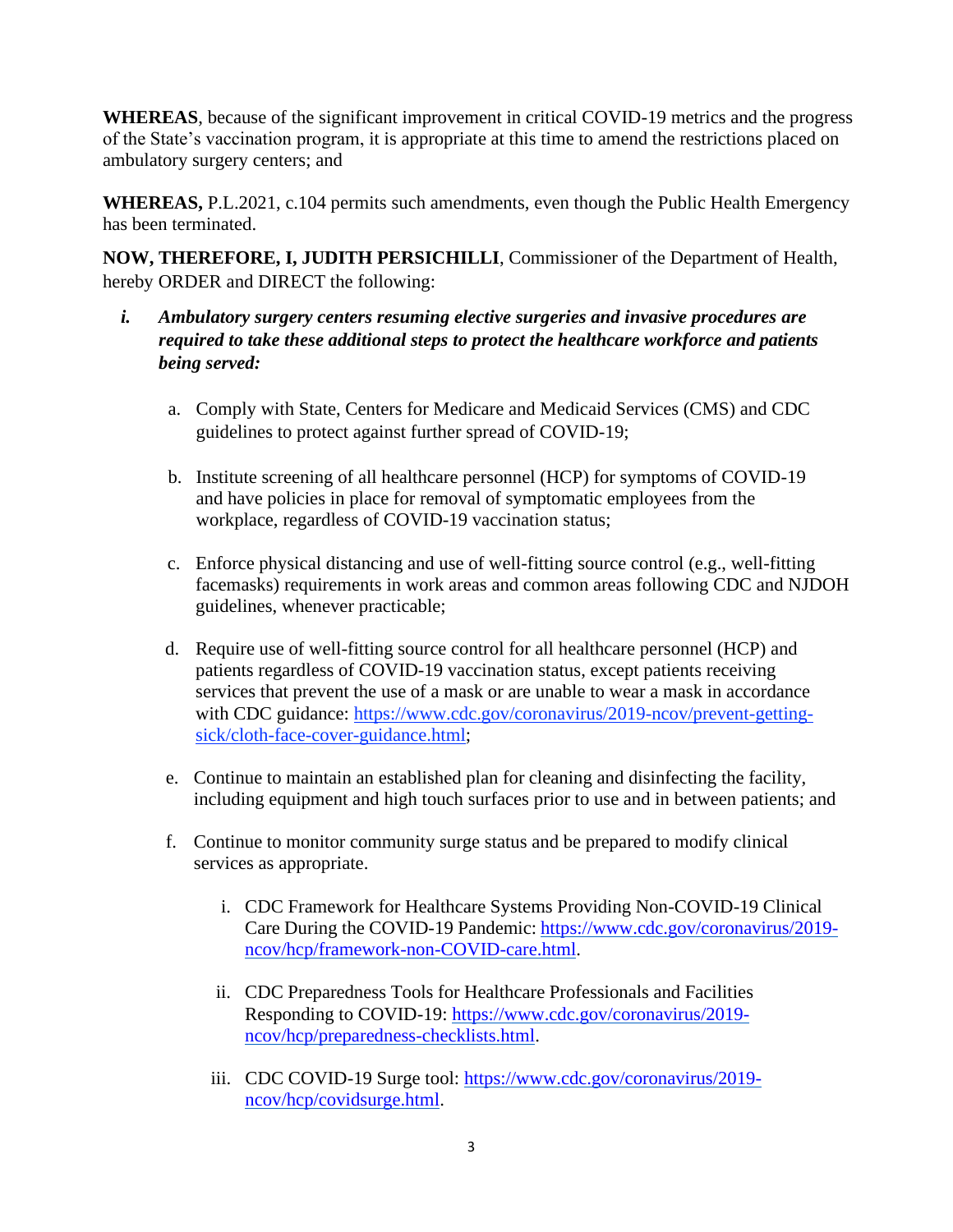**WHEREAS**, because of the significant improvement in critical COVID-19 metrics and the progress of the State's vaccination program, it is appropriate at this time to amend the restrictions placed on ambulatory surgery centers; and

**WHEREAS,** P.L.2021, c.104 permits such amendments, even though the Public Health Emergency has been terminated.

**NOW, THEREFORE, I, JUDITH PERSICHILLI**, Commissioner of the Department of Health, hereby ORDER and DIRECT the following:

- *i. Ambulatory surgery centers resuming elective surgeries and invasive procedures are required to take these additional steps to protect the healthcare workforce and patients being served:*
	- a. Comply with State, Centers for Medicare and Medicaid Services (CMS) and CDC guidelines to protect against further spread of COVID-19;
	- b. Institute screening of all healthcare personnel (HCP) for symptoms of COVID-19 and have policies in place for removal of symptomatic employees from the workplace, regardless of COVID-19 vaccination status;
	- c. Enforce physical distancing and use of well-fitting source control (e.g., well-fitting facemasks) requirements in work areas and common areas following CDC and NJDOH guidelines, whenever practicable;
	- d. Require use of well-fitting source control for all healthcare personnel (HCP) and patients regardless of COVID-19 vaccination status, except patients receiving services that prevent the use of a mask or are unable to wear a mask in accordance with CDC guidance: [https://www.cdc.gov/coronavirus/2019-ncov/prevent-getting](https://www.cdc.gov/coronavirus/2019-ncov/prevent-getting-sick/cloth-face-cover-guidance.html)[sick/cloth-face-cover-guidance.html;](https://www.cdc.gov/coronavirus/2019-ncov/prevent-getting-sick/cloth-face-cover-guidance.html)
	- e. Continue to maintain an established plan for cleaning and disinfecting the facility, including equipment and high touch surfaces prior to use and in between patients; and
	- f. Continue to monitor community surge status and be prepared to modify clinical services as appropriate.
		- i. CDC Framework for Healthcare Systems Providing Non-COVID-19 Clinical Care During the COVID-19 Pandemic: [https://www.cdc.gov/coronavirus/2019](https://www.cdc.gov/coronavirus/2019-ncov/hcp/framework-non-COVID-care.html) [ncov/hcp/framework-non-COVID-care.html.](https://www.cdc.gov/coronavirus/2019-ncov/hcp/framework-non-COVID-care.html)
		- ii. CDC Preparedness Tools for Healthcare Professionals and Facilities Responding to COVID-19: [https://www.cdc.gov/coronavirus/2019](https://www.cdc.gov/coronavirus/2019-ncov/hcp/preparedness-checklists.html) [ncov/hcp/preparedness-checklists.html.](https://www.cdc.gov/coronavirus/2019-ncov/hcp/preparedness-checklists.html)
		- iii. CDC COVID-19 Surge tool: [https://www.cdc.gov/coronavirus/2019](https://www.cdc.gov/coronavirus/2019-ncov/hcp/covidsurge.html) [ncov/hcp/covidsurge.html.](https://www.cdc.gov/coronavirus/2019-ncov/hcp/covidsurge.html)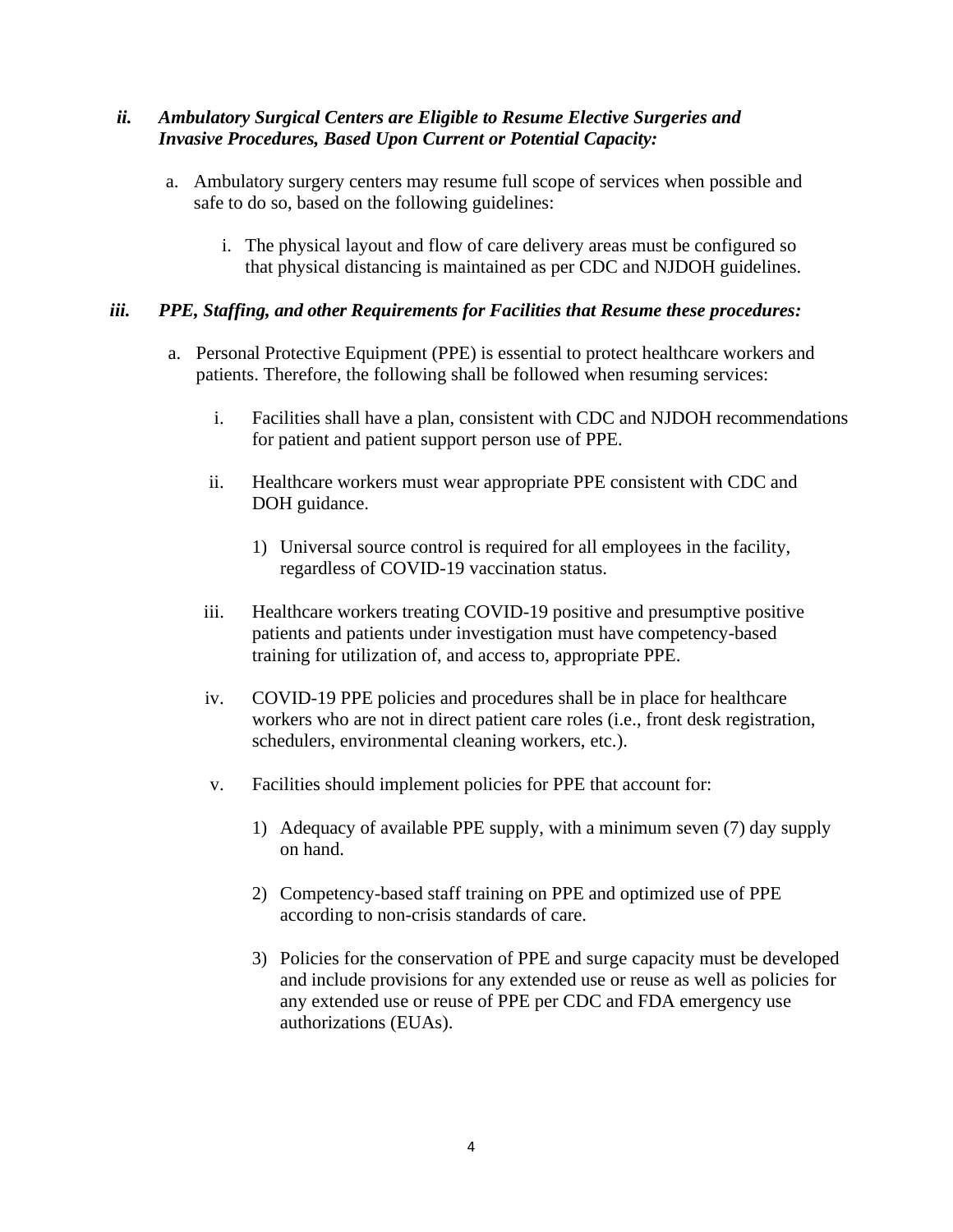## *ii. Ambulatory Surgical Centers are Eligible to Resume Elective Surgeries and Invasive Procedures, Based Upon Current or Potential Capacity:*

- a. Ambulatory surgery centers may resume full scope of services when possible and safe to do so, based on the following guidelines:
	- i. The physical layout and flow of care delivery areas must be configured so that physical distancing is maintained as per CDC and NJDOH guidelines.

## *iii. PPE, Staffing, and other Requirements for Facilities that Resume these procedures:*

- a. Personal Protective Equipment (PPE) is essential to protect healthcare workers and patients. Therefore, the following shall be followed when resuming services:
	- i. Facilities shall have a plan, consistent with CDC and NJDOH recommendations for patient and patient support person use of PPE.
	- ii. Healthcare workers must wear appropriate PPE consistent with CDC and DOH guidance.
		- 1) Universal source control is required for all employees in the facility, regardless of COVID-19 vaccination status.
	- iii. Healthcare workers treating COVID-19 positive and presumptive positive patients and patients under investigation must have competency-based training for utilization of, and access to, appropriate PPE.
	- iv. COVID-19 PPE policies and procedures shall be in place for healthcare workers who are not in direct patient care roles (i.e., front desk registration, schedulers, environmental cleaning workers, etc.).
	- v. Facilities should implement policies for PPE that account for:
		- 1) Adequacy of available PPE supply, with a minimum seven (7) day supply on hand.
		- 2) Competency-based staff training on PPE and optimized use of PPE according to non-crisis standards of care.
		- 3) Policies for the conservation of PPE and surge capacity must be developed and include provisions for any extended use or reuse as well as policies for any extended use or reuse of PPE per CDC and FDA emergency use authorizations (EUAs).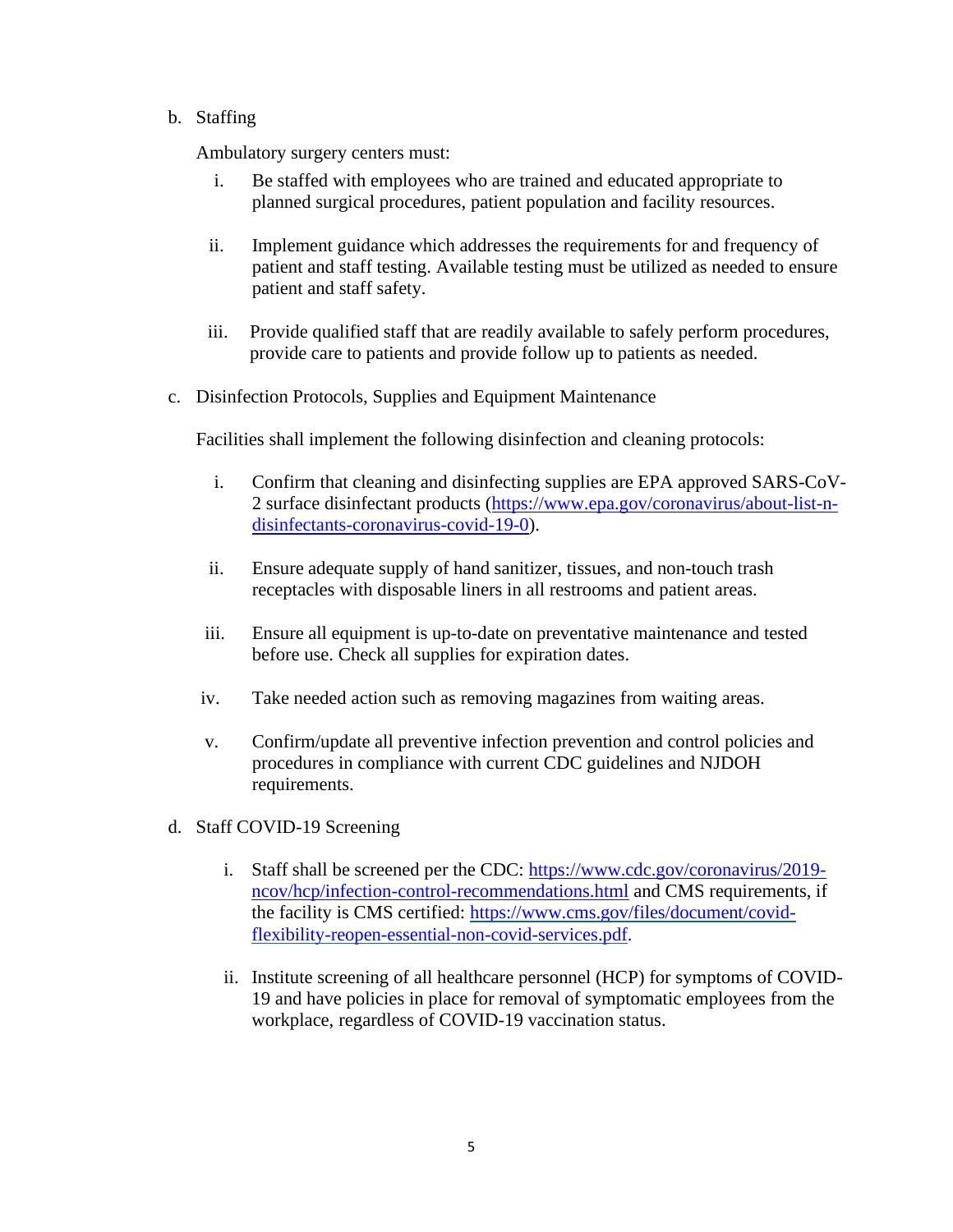## b. Staffing

Ambulatory surgery centers must:

- i. Be staffed with employees who are trained and educated appropriate to planned surgical procedures, patient population and facility resources.
- ii. Implement guidance which addresses the requirements for and frequency of patient and staff testing. Available testing must be utilized as needed to ensure patient and staff safety.
- iii. Provide qualified staff that are readily available to safely perform procedures, provide care to patients and provide follow up to patients as needed.
- c. Disinfection Protocols, Supplies and Equipment Maintenance

Facilities shall implement the following disinfection and cleaning protocols:

- i. Confirm that cleaning and disinfecting supplies are EPA approved SARS-CoV-2 surface disinfectant products [\(https://www.epa.gov/coronavirus/about-list-n](https://www.epa.gov/coronavirus/about-list-n-disinfectants-coronavirus-covid-19-0)[disinfectants-coronavirus-covid-19-0\)](https://www.epa.gov/coronavirus/about-list-n-disinfectants-coronavirus-covid-19-0).
- ii. Ensure adequate supply of hand sanitizer, tissues, and non-touch trash receptacles with disposable liners in all restrooms and patient areas.
- iii. Ensure all equipment is up-to-date on preventative maintenance and tested before use. Check all supplies for expiration dates.
- iv. Take needed action such as removing magazines from waiting areas.
- v. Confirm/update all preventive infection prevention and control policies and procedures in compliance with current CDC guidelines and NJDOH requirements.
- d. Staff COVID-19 Screening
	- i. Staff shall be screened per the CDC: [https://www.cdc.gov/coronavirus/2019](https://www.cdc.gov/coronavirus/2019-ncov/hcp/infection-control-recommendations.html) [ncov/hcp/infection-control-recommendations.html](https://www.cdc.gov/coronavirus/2019-ncov/hcp/infection-control-recommendations.html) and CMS requirements, if the facility is CMS certified: [https://www.cms.gov/files/document/covid](https://www.cms.gov/files/document/covid-flexibility-reopen-essential-non-covid-services.pdf)[flexibility-reopen-essential-non-covid-services.pdf.](https://www.cms.gov/files/document/covid-flexibility-reopen-essential-non-covid-services.pdf)
	- ii. Institute screening of all healthcare personnel (HCP) for symptoms of COVID-19 and have policies in place for removal of symptomatic employees from the workplace, regardless of COVID-19 vaccination status.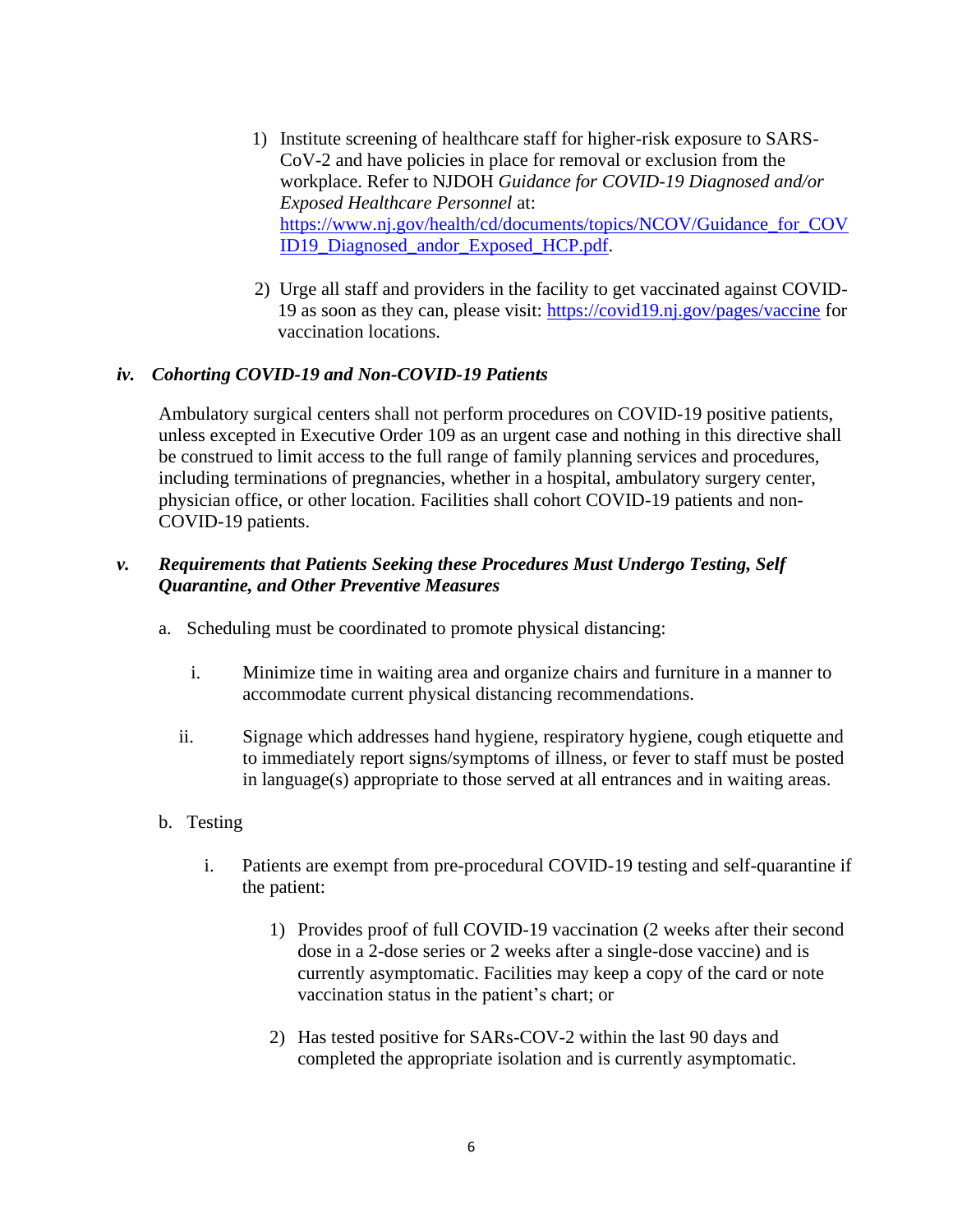- 1) Institute screening of healthcare staff for higher-risk exposure to SARS-CoV-2 and have policies in place for removal or exclusion from the workplace. Refer to NJDOH *Guidance for COVID-19 Diagnosed and/or Exposed Healthcare Personnel* at: [https://www.nj.gov/health/cd/documents/topics/NCOV/Guidance\\_for\\_COV](https://www.nj.gov/health/cd/documents/topics/NCOV/Guidance_for_COVID19_Diagnosed_andor_Exposed_HCP.pdf) [ID19\\_Diagnosed\\_andor\\_Exposed\\_HCP.pdf.](https://www.nj.gov/health/cd/documents/topics/NCOV/Guidance_for_COVID19_Diagnosed_andor_Exposed_HCP.pdf)
- 2) Urge all staff and providers in the facility to get vaccinated against COVID-19 as soon as they can, please visit:<https://covid19.nj.gov/pages/vaccine> for vaccination locations.

#### *iv. Cohorting COVID-19 and Non-COVID-19 Patients*

Ambulatory surgical centers shall not perform procedures on COVID-19 positive patients, unless excepted in Executive Order 109 as an urgent case and nothing in this directive shall be construed to limit access to the full range of family planning services and procedures, including terminations of pregnancies, whether in a hospital, ambulatory surgery center, physician office, or other location. Facilities shall cohort COVID-19 patients and non-COVID-19 patients.

## *v. Requirements that Patients Seeking these Procedures Must Undergo Testing, Self Quarantine, and Other Preventive Measures*

- a. Scheduling must be coordinated to promote physical distancing:
	- i. Minimize time in waiting area and organize chairs and furniture in a manner to accommodate current physical distancing recommendations.
	- ii. Signage which addresses hand hygiene, respiratory hygiene, cough etiquette and to immediately report signs/symptoms of illness, or fever to staff must be posted in language(s) appropriate to those served at all entrances and in waiting areas.
- b. Testing
	- i. Patients are exempt from pre-procedural COVID-19 testing and self-quarantine if the patient:
		- 1) Provides proof of full COVID-19 vaccination (2 weeks after their second dose in a 2-dose series or 2 weeks after a single-dose vaccine) and is currently asymptomatic. Facilities may keep a copy of the card or note vaccination status in the patient's chart; or
		- 2) Has tested positive for SARs-COV-2 within the last 90 days and completed the appropriate isolation and is currently asymptomatic.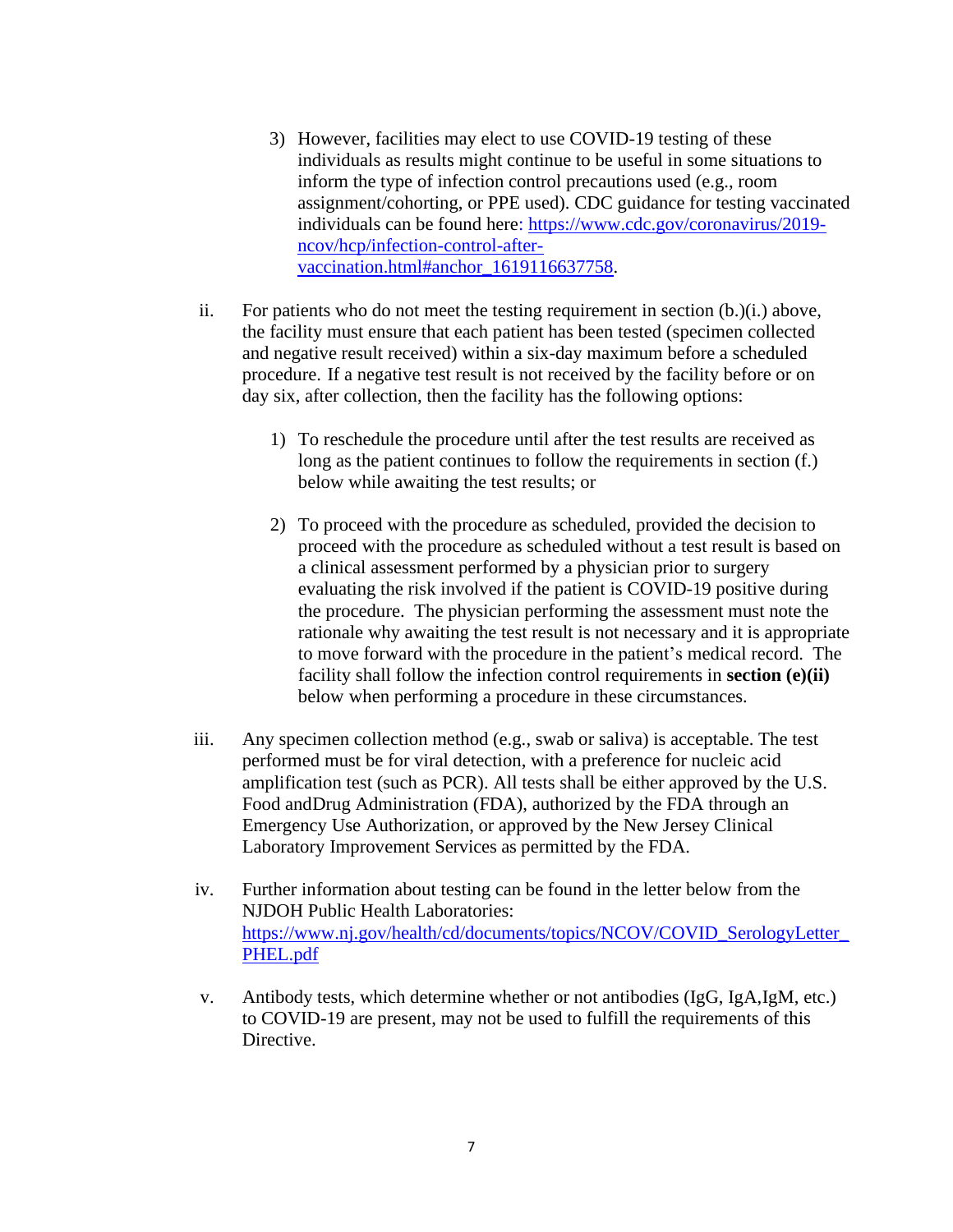- 3) However, facilities may elect to use COVID-19 testing of these individuals as results might continue to be useful in some situations to inform the type of infection control precautions used (e.g., room assignment/cohorting, or PPE used). CDC guidance for testing vaccinated individuals can be found here: [https://www.cdc.gov/coronavirus/2019](https://www.cdc.gov/coronavirus/2019-ncov/hcp/infection-control-after-vaccination.html#anchor_1619116637758) [ncov/hcp/infection-control-after](https://www.cdc.gov/coronavirus/2019-ncov/hcp/infection-control-after-vaccination.html#anchor_1619116637758)[vaccination.html#anchor\\_1619116637758.](https://www.cdc.gov/coronavirus/2019-ncov/hcp/infection-control-after-vaccination.html#anchor_1619116637758)
- ii. For patients who do not meet the testing requirement in section (b.)(i.) above, the facility must ensure that each patient has been tested (specimen collected and negative result received) within a six-day maximum before a scheduled procedure. If a negative test result is not received by the facility before or on day six, after collection, then the facility has the following options:
	- 1) To reschedule the procedure until after the test results are received as long as the patient continues to follow the requirements in section (f.) below while awaiting the test results; or
	- 2) To proceed with the procedure as scheduled, provided the decision to proceed with the procedure as scheduled without a test result is based on a clinical assessment performed by a physician prior to surgery evaluating the risk involved if the patient is COVID-19 positive during the procedure. The physician performing the assessment must note the rationale why awaiting the test result is not necessary and it is appropriate to move forward with the procedure in the patient's medical record. The facility shall follow the infection control requirements in **section (e)(ii)** below when performing a procedure in these circumstances.
- iii. Any specimen collection method (e.g., swab or saliva) is acceptable. The test performed must be for viral detection, with a preference for nucleic acid amplification test (such as PCR). All tests shall be either approved by the U.S. Food andDrug Administration (FDA), authorized by the FDA through an Emergency Use Authorization, or approved by the New Jersey Clinical Laboratory Improvement Services as permitted by the FDA.
- iv. Further information about testing can be found in the letter below from the NJDOH Public Health Laboratories: [https://www.nj.gov/health/cd/documents/topics/NCOV/COVID\\_SerologyLetter\\_](https://www.nj.gov/health/cd/documents/topics/NCOV/COVID_SerologyLetter_PHEL.pdf) [PHEL.pdf](https://www.nj.gov/health/cd/documents/topics/NCOV/COVID_SerologyLetter_PHEL.pdf)
- v. Antibody tests, which determine whether or not antibodies (IgG, IgA,IgM, etc.) to COVID-19 are present, may not be used to fulfill the requirements of this Directive.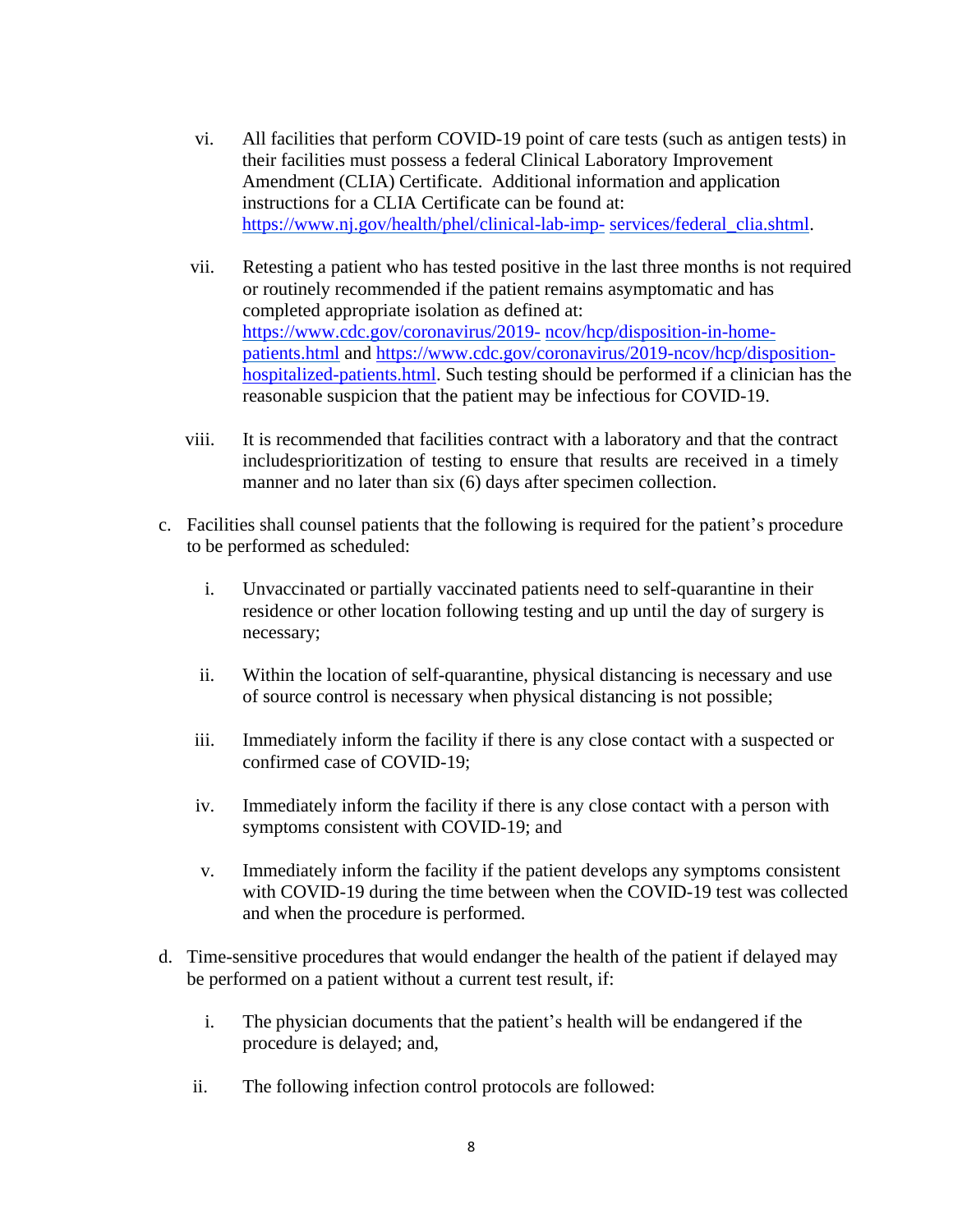- vi. All facilities that perform COVID-19 point of care tests (such as antigen tests) in their facilities must possess a federal Clinical Laboratory Improvement Amendment (CLIA) Certificate. Additional information and application instructions for a CLIA Certificate can be found at: [https://www.nj.gov/health/phel/clinical-lab-imp-](https://www.nj.gov/health/phel/clinical-lab-imp-services/federal_clia.shtml) [services/federal\\_clia.shtml.](https://www.nj.gov/health/phel/clinical-lab-imp-services/federal_clia.shtml)
- vii. Retesting a patient who has tested positive in the last three months is not required or routinely recommended if the patient remains asymptomatic and has completed appropriate isolation as defined at: [https://www.cdc.gov/coronavirus/2019-](https://www.cdc.gov/coronavirus/2019-ncov/hcp/disposition-in-home-patients.html) [ncov/hcp/disposition-in-home](https://www.cdc.gov/coronavirus/2019-ncov/hcp/disposition-in-home-patients.html)[patients.html](https://www.cdc.gov/coronavirus/2019-ncov/hcp/disposition-in-home-patients.html) and [https://www.cdc.gov/coronavirus/2019-ncov/hcp/disposition](https://www.cdc.gov/coronavirus/2019-ncov/hcp/disposition-hospitalized-patients.html)[hospitalized-patients.html.](https://www.cdc.gov/coronavirus/2019-ncov/hcp/disposition-hospitalized-patients.html) Such testing should be performed if a clinician has the reasonable suspicion that the patient may be infectious for COVID-19.
- viii. It is recommended that facilities contract with a laboratory and that the contract includesprioritization of testing to ensure that results are received in a timely manner and no later than six (6) days after specimen collection.
- c. Facilities shall counsel patients that the following is required for the patient's procedure to be performed as scheduled:
	- i. Unvaccinated or partially vaccinated patients need to self-quarantine in their residence or other location following testing and up until the day of surgery is necessary;
	- ii. Within the location of self-quarantine, physical distancing is necessary and use of source control is necessary when physical distancing is not possible;
	- iii. Immediately inform the facility if there is any close contact with a suspected or confirmed case of COVID-19;
	- iv. Immediately inform the facility if there is any close contact with a person with symptoms consistent with COVID-19; and
	- v. Immediately inform the facility if the patient develops any symptoms consistent with COVID-19 during the time between when the COVID-19 test was collected and when the procedure is performed.
- d. Time-sensitive procedures that would endanger the health of the patient if delayed may be performed on a patient without a current test result, if:
	- i. The physician documents that the patient's health will be endangered if the procedure is delayed; and,
	- ii. The following infection control protocols are followed: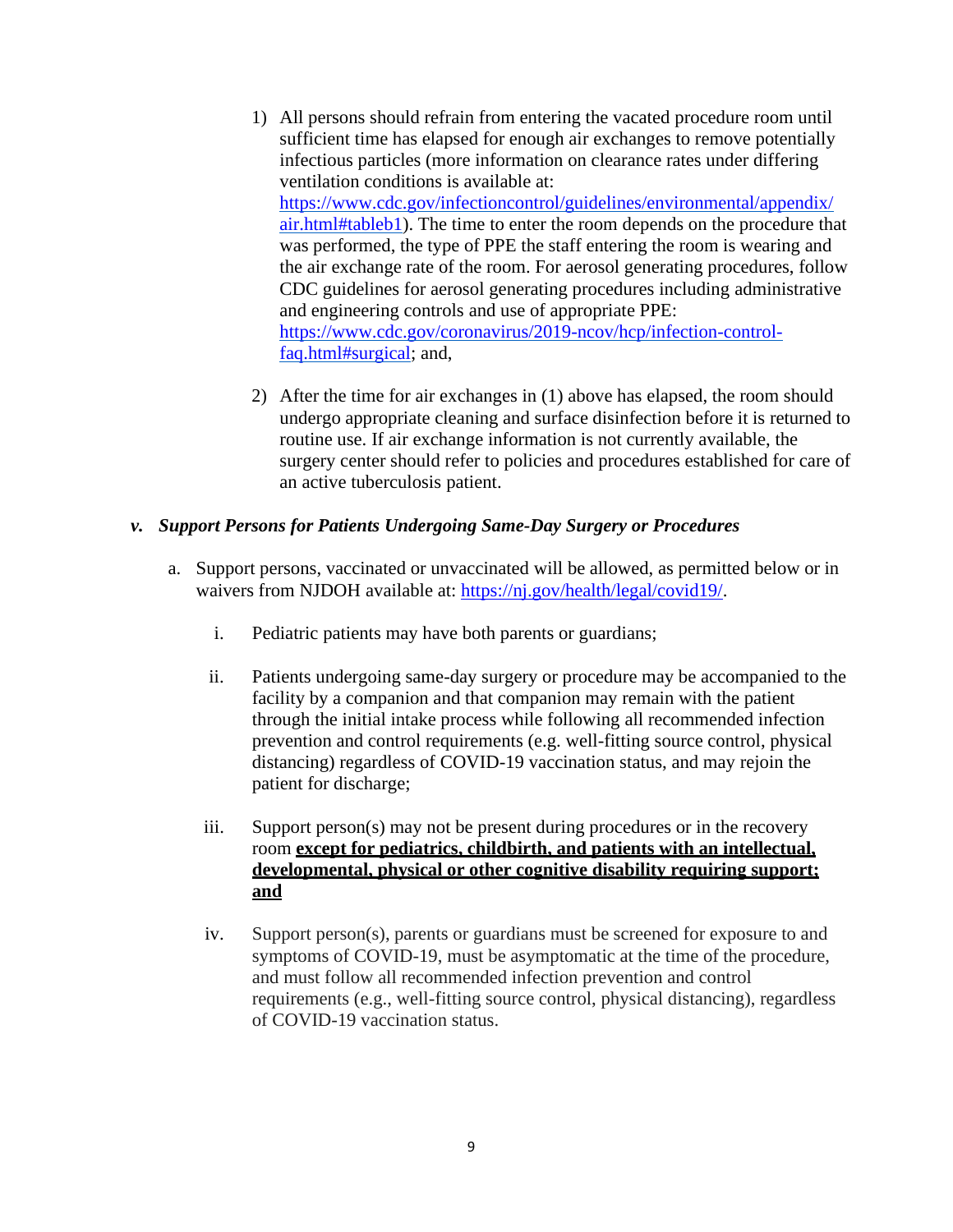- 1) All persons should refrain from entering the vacated procedure room until sufficient time has elapsed for enough air exchanges to remove potentially infectious particles (more information on clearance rates under differing ventilation conditions is available at: [https://www.cdc.gov/infectioncontrol/guidelines/environmental/appendix/](https://www.cdc.gov/infectioncontrol/guidelines/environmental/appendix/air.html#tableb1) [air.html#tableb1\)](https://www.cdc.gov/infectioncontrol/guidelines/environmental/appendix/air.html#tableb1). The time to enter the room depends on the procedure that was performed, the type of PPE the staff entering the room is wearing and the air exchange rate of the room. For aerosol generating procedures, follow CDC guidelines for aerosol generating procedures including administrative and engineering controls and use of appropriate PPE: [https://www.cdc.gov/coronavirus/2019-ncov/hcp/infection-control](https://www.cdc.gov/coronavirus/2019-ncov/hcp/infection-control-faq.html#surgical)[faq.html#surgical;](https://www.cdc.gov/coronavirus/2019-ncov/hcp/infection-control-faq.html#surgical) and,
- 2) After the time for air exchanges in (1) above has elapsed, the room should undergo appropriate cleaning and surface disinfection before it is returned to routine use. If air exchange information is not currently available, the surgery center should refer to policies and procedures established for care of an active tuberculosis patient.

## *v. Support Persons for Patients Undergoing Same-Day Surgery or Procedures*

- a. Support persons, vaccinated or unvaccinated will be allowed, as permitted below or in waivers from NJDOH available at: [https://nj.gov/health/legal/covid19/.](https://nj.gov/health/legal/covid19/)
	- i. Pediatric patients may have both parents or guardians;
	- ii. Patients undergoing same-day surgery or procedure may be accompanied to the facility by a companion and that companion may remain with the patient through the initial intake process while following all recommended infection prevention and control requirements (e.g. well-fitting source control, physical distancing) regardless of COVID-19 vaccination status, and may rejoin the patient for discharge;
	- iii. Support person(s) may not be present during procedures or in the recovery room **except for pediatrics, childbirth, and patients with an intellectual, developmental, physical or other cognitive disability requiring support; and**
	- iv. Support person(s), parents or guardians must be screened for exposure to and symptoms of COVID-19, must be asymptomatic at the time of the procedure, and must follow all recommended infection prevention and control requirements (e.g., well-fitting source control, physical distancing), regardless of COVID-19 vaccination status.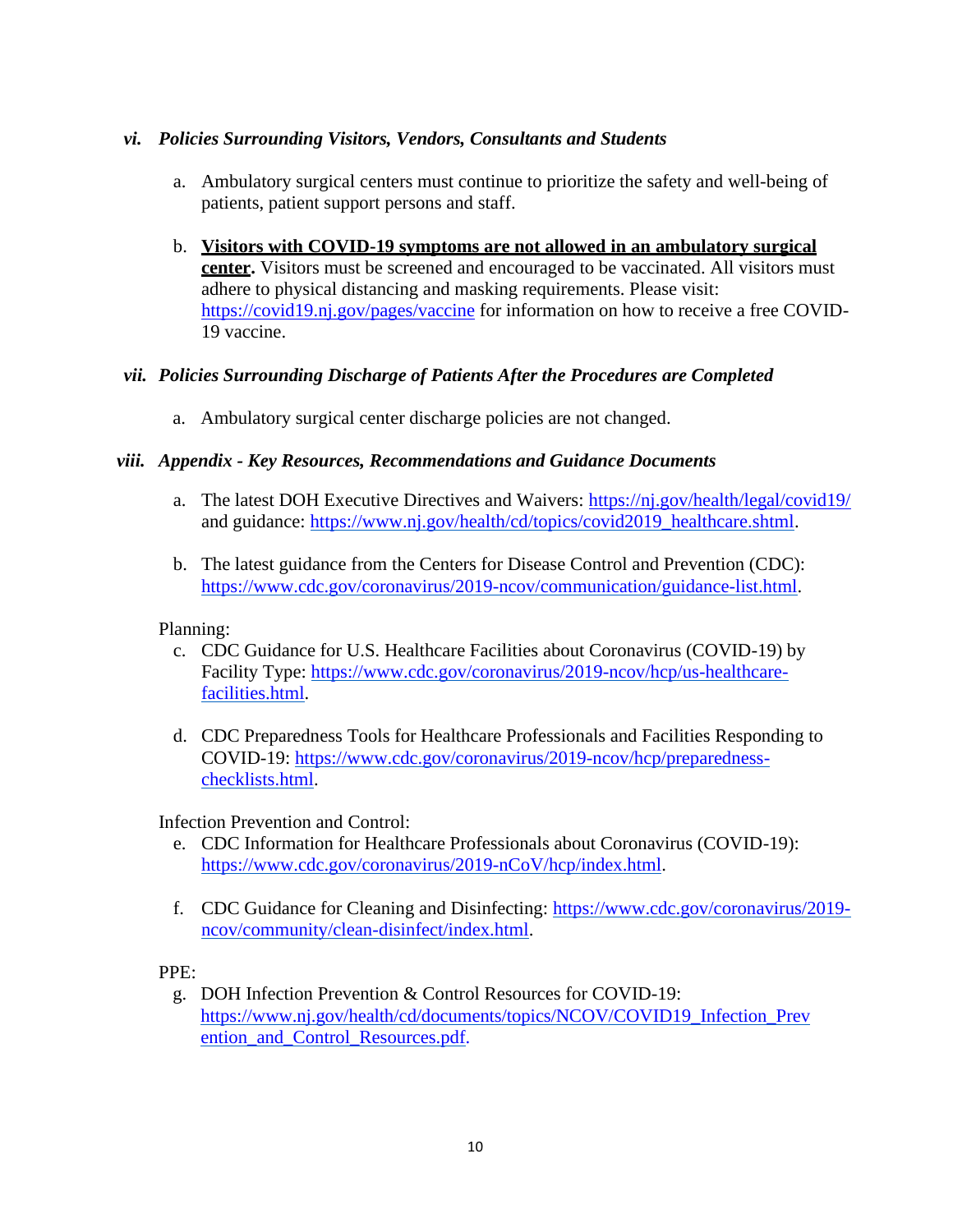## *vi. Policies Surrounding Visitors, Vendors, Consultants and Students*

- a. Ambulatory surgical centers must continue to prioritize the safety and well-being of patients, patient support persons and staff.
- b. **Visitors with COVID-19 symptoms are not allowed in an ambulatory surgical center.** Visitors must be screened and encouraged to be vaccinated. All visitors must adhere to physical distancing and masking requirements. Please visit: <https://covid19.nj.gov/pages/vaccine> for information on how to receive a free COVID-19 vaccine.

## *vii. Policies Surrounding Discharge of Patients After the Procedures are Completed*

a. Ambulatory surgical center discharge policies are not changed.

## *viii. Appendix - Key Resources, Recommendations and Guidance Documents*

- a. The latest DOH Executive Directives and Waivers: <https://nj.gov/health/legal/covid19/> and guidance: [https://www.nj.gov/health/cd/topics/covid2019\\_healthcare.shtml.](https://www.nj.gov/health/cd/topics/covid2019_healthcare.shtml)
- b. The latest guidance from the Centers for Disease Control and Prevention (CDC): [https://www.cdc.gov/coronavirus/2019-ncov/communication/guidance-list.html.](https://www.cdc.gov/coronavirus/2019-ncov/communication/guidance-list.html)

#### Planning:

- c. CDC Guidance for U.S. Healthcare Facilities about Coronavirus (COVID-19) by Facility Type: [https://www.cdc.gov/coronavirus/2019-ncov/hcp/us-healthcare](https://www.cdc.gov/coronavirus/2019-ncov/hcp/us-healthcare-facilities.html)[facilities.html.](https://www.cdc.gov/coronavirus/2019-ncov/hcp/us-healthcare-facilities.html)
- d. CDC Preparedness Tools for Healthcare Professionals and Facilities Responding to COVID-19: [https://www.cdc.gov/coronavirus/2019-ncov/hcp/preparedness](https://www.cdc.gov/coronavirus/2019-ncov/hcp/preparedness-checklists.html)[checklists.html.](https://www.cdc.gov/coronavirus/2019-ncov/hcp/preparedness-checklists.html)

Infection Prevention and Control:

- e. CDC Information for Healthcare Professionals about Coronavirus (COVID-19): [https://www.cdc.gov/coronavirus/2019-nCoV/hcp/index.html.](https://www.cdc.gov/coronavirus/2019-nCoV/hcp/index.html)
- f. CDC Guidance for Cleaning and Disinfecting: [https://www.cdc.gov/coronavirus/2019](https://www.cdc.gov/coronavirus/2019-ncov/community/clean-disinfect/index.html) [ncov/community/clean-disinfect/index.html.](https://www.cdc.gov/coronavirus/2019-ncov/community/clean-disinfect/index.html)

#### PPE:

g. DOH Infection Prevention & Control Resources for COVID-19: [https://www.nj.gov/health/cd/documents/topics/NCOV/COVID19\\_Infection\\_Prev](https://www.nj.gov/health/cd/documents/topics/NCOV/COVID19_Infection_Prevention_and_Control_Resources.pdf) ention and Control Resources.pdf.